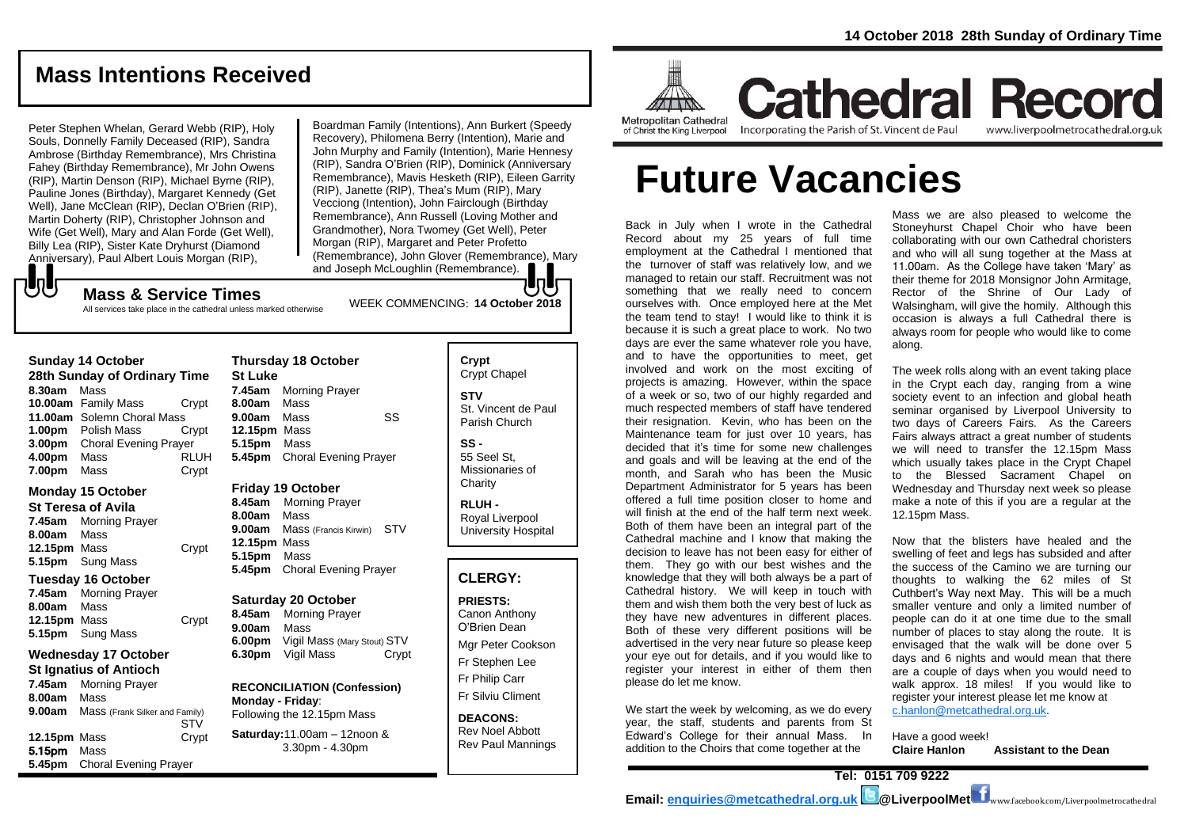# **Mass Intentions Received**

Peter Stephen Whelan, Gerard Webb (RIP), Holy Souls, Donnelly Family Deceased (RIP), Sandra Ambrose (Birthday Remembrance), Mrs Christina Fahey (Birthday Remembrance), Mr John Owens (RIP), Martin Denson (RIP), Michael Byrne (RIP), Pauline Jones (Birthday), Margaret Kennedy (Get Well), Jane McClean (RIP), Declan O'Brien (RIP), Martin Doherty (RIP), Christopher Johnson and Wife (Get Well), Mary and Alan Forde (Get Well), Billy Lea (RIP), Sister Kate Dryhurst (Diamond Anniversary), Paul Albert Louis Morgan (RIP),

Boardman Family (Intentions), Ann Burkert (Speedy Recovery), Philomena Berry (Intention), Marie and John Murphy and Family (Intention), Marie Hennesy (RIP), Sandra O'Brien (RIP), Dominick (Anniversary Remembrance), Mavis Hesketh (RIP), Eileen Garrity (RIP), Janette (RIP), Thea's Mum (RIP), Mary Vecciong (Intention), John Fairclough (Birthday Remembrance), Ann Russell (Loving Mother and Grandmother), Nora Twomey (Get Well), Peter Morgan (RIP), Margaret and Peter Profetto (Remembrance), John Glover (Remembrance), Mary and Joseph McLoughlin (Remembrance).

# WEEK COMMENCING: **<sup>14</sup> October <sup>2018</sup> Mass & Service Times**

All services take place in the cathedral unless marked otherwise

#### **Sunday 14 October**

もし

**28th Sunday of Ordinary Time 8.30am** Mass **10.00am** Family Mass Crypt **11.00am** Solemn Choral Mass **1.00pm** Polish Mass Crypt **3.00pm** Choral Evening Prayer **4.00pm** Mass RLUH **7.00pm** Mass Crypt

### **Monday 15 October**

- **St Teresa of Avila 7.45am** Morning Prayer
- **8.00am** Mass **12.15pm** Mass Crypt **5.15pm** Sung Mass

# **Tuesday 16 October**

**7.45am** Morning Prayer **8.00am** Mass **12.15pm** Mass Crypt **5.15pm** Sung Mass

### **Wednesday 17 October St Ignatius of Antioch**

**7.45am** Morning Prayer **8.00am** Mass **9.00am** Mass (Frank Silker and Family) **STV 12.15pm** Mass Crypt 5.15pm Mass **5.45pm** Choral Evening Prayer

### **Thursday 18 October St Luke 7.45am** Morning Prayer **8.00am** Mass **9.00am** Mass SS

**12.15pm** Mass **5.15pm** Mass **5.45pm** Choral Evening Prayer

### **Friday 19 October**

**8.45am** Morning Prayer **8.00am** Mass **9.00am** Mass (Francis Kirwin) STV **12.15pm** Mass **5.15pm** Mass **5.45pm** Choral Evening Prayer

### **Saturday 20 October**

**8.45am** Morning Prayer **9.00am** Mass **6.00pm** Vigil Mass (Mary Stout) STV **6.30pm** Vigil Mass Crypt

#### **RECONCILIATION (Confession) Monday - Friday**: Following the 12.15pm Mass

**Saturday:**11.00am – 12noon & 3.30pm - 4.30pm

### **Crypt**  Crypt Chapel **STV**

St. Vincent de Paul Parish Church

### **SS -** 55 Seel St,

Missionaries of **Charity** 

**RLUH -** Royal Liverpool University Hospital

### **CLERGY:**

**PRIESTS:** Canon Anthony O'Brien *Dean*

Mgr Peter Cookson Fr Stephen Lee Fr Philip Carr Fr Silviu Climent

**DEACONS:** Rev Noel Abbott Rev Paul Mannings



**Cathedral Record** Incorporating the Parish of St. Vincent de Paul

www.liverpoolmetrocathedral.org.uk

# **Future Vacancies**

Back in July when I wrote in the Cathedral Record about my 25 years of full time employment at the Cathedral I mentioned that the turnover of staff was relatively low, and we managed to retain our staff. Recruitment was not something that we really need to concern ourselves with. Once employed here at the Met the team tend to stay! I would like to think it is because it is such a great place to work. No two days are ever the same whatever role you have, and to have the opportunities to meet, get involved and work on the most exciting of projects is amazing. However, within the space of a week or so, two of our highly regarded and much respected members of staff have tendered their resignation. Kevin, who has been on the Maintenance team for just over 10 years, has decided that it's time for some new challenges and goals and will be leaving at the end of the month, and Sarah who has been the Music Department Administrator for 5 years has been offered a full time position closer to home and will finish at the end of the half term next week. Both of them have been an integral part of the Cathedral machine and I know that making the decision to leave has not been easy for either of them. They go with our best wishes and the knowledge that they will both always be a part of Cathedral history. We will keep in touch with them and wish them both the very best of luck as they have new adventures in different places. Both of these very different positions will be advertised in the very near future so please keep your eye out for details, and if you would like to register your interest in either of them then please do let me know.

We start the week by welcoming, as we do every year, the staff, students and parents from St Edward's College for their annual Mass. In addition to the Choirs that come together at the

Mass we are also pleased to welcome the Stoneyhurst Chapel Choir who have been collaborating with our own Cathedral choristers and who will all sung together at the Mass at 11.00am. As the College have taken 'Mary' as their theme for 2018 Monsignor John Armitage, Rector of the Shrine of Our Lady of Walsingham, will give the homily. Although this occasion is always a full Cathedral there is always room for people who would like to come along.

The week rolls along with an event taking place in the Crypt each day, ranging from a wine society event to an infection and global heath seminar organised by Liverpool University to two days of Careers Fairs. As the Careers Fairs always attract a great number of students we will need to transfer the 12.15pm Mass which usually takes place in the Crypt Chapel to the Blessed Sacrament Chapel on Wednesday and Thursday next week so please make a note of this if you are a regular at the 12.15pm Mass.

Now that the blisters have healed and the swelling of feet and legs has subsided and after the success of the Camino we are turning our thoughts to walking the 62 miles of St Cuthbert's Way next May. This will be a much smaller venture and only a limited number of people can do it at one time due to the small number of places to stay along the route. It is envisaged that the walk will be done over 5 days and 6 nights and would mean that there are a couple of days when you would need to walk approx. 18 miles! If you would like to register your interest please let me know at [c.hanlon@metcathedral.org.uk.](mailto:c.hanlon@metcathedral.org.uk) 

Have a good week! **Claire Hanlon Assistant to the Dean**